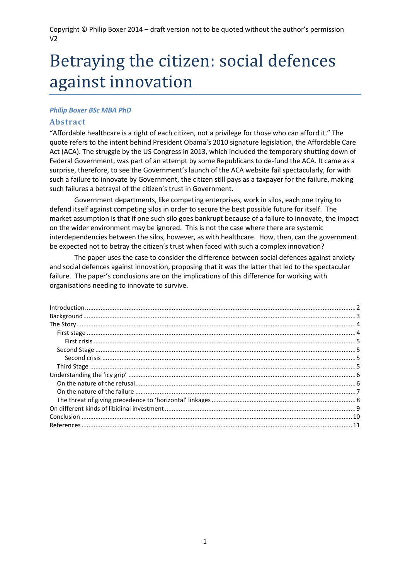# Betraying the citizen: social defences against innovation

#### *Philip Boxer BSc MBA PhD*

#### **Abstract**

"Affordable healthcare is a right of each citizen, not a privilege for those who can afford it." The quote refers to the intent behind President Obama's 2010 signature legislation, the Affordable Care Act (ACA). The struggle by the US Congress in 2013, which included the temporary shutting down of Federal Government, was part of an attempt by some Republicans to de-fund the ACA. It came as a surprise, therefore, to see the Government's launch of the ACA website fail spectacularly, for with such a failure to innovate by Government, the citizen still pays as a taxpayer for the failure, making such failures a betrayal of the citizen's trust in Government.

Government departments, like competing enterprises, work in silos, each one trying to defend itself against competing silos in order to secure the best possible future for itself. The market assumption is that if one such silo goes bankrupt because of a failure to innovate, the impact on the wider environment may be ignored. This is not the case where there are systemic interdependencies between the silos, however, as with healthcare. How, then, can the government be expected not to betray the citizen's trust when faced with such a complex innovation?

The paper uses the case to consider the difference between social defences against anxiety and social defences against innovation, proposing that it was the latter that led to the spectacular failure. The paper's conclusions are on the implications of this difference for working with organisations needing to innovate to survive.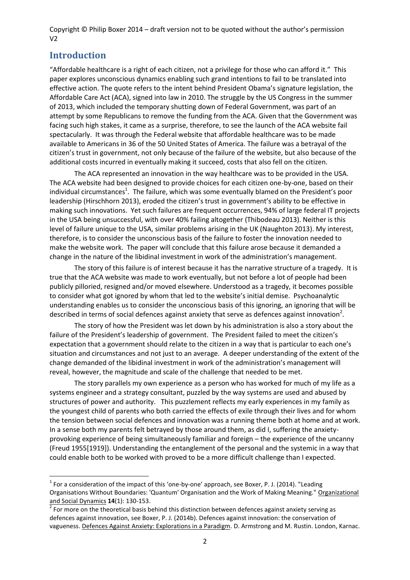## <span id="page-1-0"></span>**Introduction**

**.** 

"Affordable healthcare is a right of each citizen, not a privilege for those who can afford it." This paper explores unconscious dynamics enabling such grand intentions to fail to be translated into effective action. The quote refers to the intent behind President Obama's signature legislation, the Affordable Care Act (ACA), signed into law in 2010. The struggle by the US Congress in the summer of 2013, which included the temporary shutting down of Federal Government, was part of an attempt by some Republicans to remove the funding from the ACA. Given that the Government was facing such high stakes, it came as a surprise, therefore, to see the launch of the ACA website fail spectacularly. It was through the Federal website that affordable healthcare was to be made available to Americans in 36 of the 50 United States of America. The failure was a betrayal of the citizen's trust in government, not only because of the failure of the website, but also because of the additional costs incurred in eventually making it succeed, costs that also fell on the citizen.

The ACA represented an innovation in the way healthcare was to be provided in the USA. The ACA website had been designed to provide choices for each citizen one-by-one, based on their individual circumstances<sup>1</sup>. The failure, which was some eventually blamed on the President's poor leadership [\(Hirschhorn 2013\)](#page-11-0), eroded the citizen's trust in government's ability to be effective in making such innovations. Yet such failures are frequent occurrences, 94% of large federal IT projects in the USA being unsuccessful, with over 40% failing altogether [\(Thibodeau 2013\)](#page-12-0). Neither is this level of failure unique to the USA, similar problems arising in the UK [\(Naughton 2013\)](#page-11-1). My interest, therefore, is to consider the unconscious basis of the failure to foster the innovation needed to make the website work. The paper will conclude that this failure arose because it demanded a change in the nature of the libidinal investment in work of the administration's management.

The story of this failure is of interest because it has the narrative structure of a tragedy. It is true that the ACA website was made to work eventually, but not before a lot of people had been publicly pilloried, resigned and/or moved elsewhere. Understood as a tragedy, it becomes possible to consider what got ignored by whom that led to the website's initial demise. Psychoanalytic understanding enables us to consider the unconscious basis of this ignoring, an ignoring that will be described in terms of social defences against anxiety that serve as defences against innovation<sup>2</sup>.

The story of how the President was let down by his administration is also a story about the failure of the President's leadership of government. The President failed to meet the citizen's expectation that a government should relate to the citizen in a way that is particular to each one's situation and circumstances and not just to an average. A deeper understanding of the extent of the change demanded of the libidinal investment in work of the administration's management will reveal, however, the magnitude and scale of the challenge that needed to be met.

The story parallels my own experience as a person who has worked for much of my life as a systems engineer and a strategy consultant, puzzled by the way systems are used and abused by structures of power and authority. This puzzlement reflects my early experiences in my family as the youngest child of parents who both carried the effects of exile through their lives and for whom the tension between social defences and innovation was a running theme both at home and at work. In a sense both my parents felt betrayed by those around them, as did I, suffering the anxietyprovoking experience of being simultaneously familiar and foreign – the experience of the uncanny [\(Freud 1955\[1919\]\)](#page-11-2). Understanding the entanglement of the personal and the systemic in a way that could enable both to be worked with proved to be a more difficult challenge than I expected.

 $<sup>1</sup>$  For a consideration of the impact of this 'one-by-one' approach, see Boxer, P. J. (2014). "Leading</sup> Organisations Without Boundaries: 'Quantum' Organisation and the Work of Making Meaning." Organizational and Social Dynamics **14**(1): 130-153.

 $2$  For more on the theoretical basis behind this distinction between defences against anxiety serving as defences against innovation, see Boxer, P. J. (2014b). Defences against innovation: the conservation of vagueness. Defences Against Anxiety: Explorations in a Paradigm. D. Armstrong and M. Rustin. London, Karnac.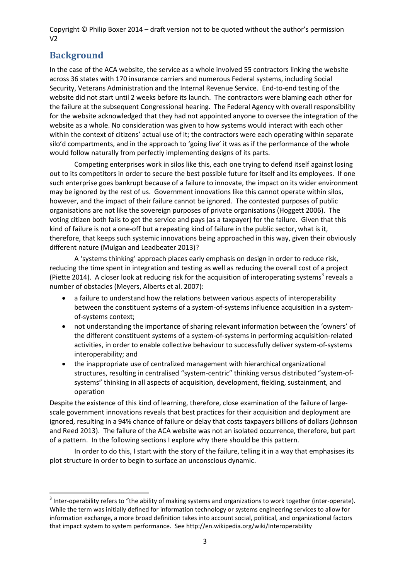## <span id="page-2-0"></span>**Background**

**.** 

In the case of the ACA website, the service as a whole involved 55 contractors linking the website across 36 states with 170 insurance carriers and numerous Federal systems, including Social Security, Veterans Administration and the Internal Revenue Service. End-to-end testing of the website did not start until 2 weeks before its launch. The contractors were blaming each other for the failure at the subsequent Congressional hearing. The Federal Agency with overall responsibility for the website acknowledged that they had not appointed anyone to oversee the integration of the website as a whole. No consideration was given to how systems would interact with each other within the context of citizens' actual use of it; the contractors were each operating within separate silo'd compartments, and in the approach to 'going live' it was as if the performance of the whole would follow naturally from perfectly implementing designs of its parts.

Competing enterprises work in silos like this, each one trying to defend itself against losing out to its competitors in order to secure the best possible future for itself and its employees. If one such enterprise goes bankrupt because of a failure to innovate, the impact on its wider environment may be ignored by the rest of us. Government innovations like this cannot operate within silos, however, and the impact of their failure cannot be ignored. The contested purposes of public organisations are not like the sovereign purposes of private organisations [\(Hoggett 2006\)](#page-11-3). The voting citizen both fails to get the service and pays (as a taxpayer) for the failure. Given that this kind of failure is not a one-off but a repeating kind of failure in the public sector, what is it, therefore, that keeps such systemic innovations being approached in this way, given their obviously different nature [\(Mulgan and Leadbeater 2013\)](#page-11-4)?

A 'systems thinking' approach places early emphasis on design in order to reduce risk, reducing the time spent in integration and testing as well as reducing the overall cost of a project [\(Piette 2014\)](#page-11-5). A closer look at reducing risk for the acquisition of interoperating systems<sup>3</sup> reveals a number of obstacles [\(Meyers, Alberts et al. 2007\)](#page-11-6):

- a failure to understand how the relations between various aspects of interoperability between the constituent systems of a system-of-systems influence acquisition in a systemof-systems context;
- not understanding the importance of sharing relevant information between the 'owners' of the different constituent systems of a system-of-systems in performing acquisition-related activities, in order to enable collective behaviour to successfully deliver system-of-systems interoperability; and
- the inappropriate use of centralized management with hierarchical organizational structures, resulting in centralised "system-centric" thinking versus distributed "system-ofsystems" thinking in all aspects of acquisition, development, fielding, sustainment, and operation

Despite the existence of this kind of learning, therefore, close examination of the failure of largescale government innovations reveals that best practices for their acquisition and deployment are ignored, resulting in a 94% chance of failure or delay that costs taxpayers billions of dollars [\(Johnson](#page-11-7)  [and Reed 2013\)](#page-11-7). The failure of the ACA website was not an isolated occurrence, therefore, but part of a pattern. In the following sections I explore why there should be this pattern.

In order to do this, I start with the story of the failure, telling it in a way that emphasises its plot structure in order to begin to surface an unconscious dynamic.

 $3$  Inter-operability refers to "the ability of making systems and organizations to work together (inter-operate). While the term was initially defined for information technology or systems engineering services to allow for information exchange, a more broad definition takes into account social, political, and organizational factors that impact system to system performance. See http://en.wikipedia.org/wiki/Interoperability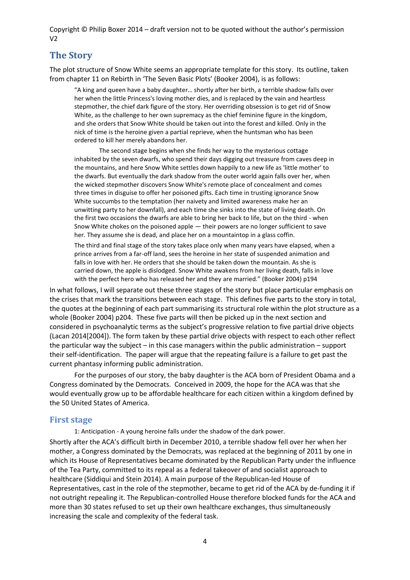### <span id="page-3-0"></span>**The Story**

The plot structure of Snow White seems an appropriate template for this story. Its outline, taken from chapter 11 on Rebirth in 'The Seven Basic Plots' [\(Booker 2004\)](#page-10-1), is as follows:

"A king and queen have a baby daughter… shortly after her birth, a terrible shadow falls over her when the little Princess's loving mother dies, and is replaced by the vain and heartless stepmother, the chief dark figure of the story. Her overriding obsession is to get rid of Snow White, as the challenge to her own supremacy as the chief feminine figure in the kingdom, and she orders that Snow White should be taken out into the forest and killed. Only in the nick of time is the heroine given a partial reprieve, when the huntsman who has been ordered to kill her merely abandons her.

The second stage begins when she finds her way to the mysterious cottage inhabited by the seven dwarfs, who spend their days digging out treasure from caves deep in the mountains, and here Snow White settles down happily to a new life as 'little mother' to the dwarfs. But eventually the dark shadow from the outer world again falls over her, when the wicked stepmother discovers Snow White's remote place of concealment and comes three times in disguise to offer her poisoned gifts. Each time in trusting ignorance Snow White succumbs to the temptation (her naivety and limited awareness make her an unwitting party to her downfall), and each time she sinks into the state of living death. On the first two occasions the dwarfs are able to bring her back to life, but on the third - when Snow White chokes on the poisoned apple — their powers are no longer sufficient to save her. They assume she is dead, and place her on a mountaintop in a glass coffin.

The third and final stage of the story takes place only when many years have elapsed, when a prince arrives from a far-off land, sees the heroine in her state of suspended animation and falls in love with her. He orders that she should be taken down the mountain. As she is carried down, the apple is dislodged. Snow White awakens from her living death, falls in love with the perfect hero who has released her and they are married." [\(Booker 2004\)](#page-10-1) p194

In what follows, I will separate out these three stages of the story but place particular emphasis on the crises that mark the transitions between each stage. This defines five parts to the story in total, the quotes at the beginning of each part summarising its structural role within the plot structure as a whole [\(Booker 2004\)](#page-10-1) p204. These five parts will then be picked up in the next section and considered in psychoanalytic terms as the subject's progressive relation to five partial drive objects [\(Lacan 2014\[2004\]\)](#page-11-8). The form taken by these partial drive objects with respect to each other reflect the particular way the subject – in this case managers within the public administration – support their self-identification. The paper will argue that the repeating failure is a failure to get past the current phantasy informing public administration.

For the purposes of our story, the baby daughter is the ACA born of President Obama and a Congress dominated by the Democrats. Conceived in 2009, the hope for the ACA was that she would eventually grow up to be affordable healthcare for each citizen within a kingdom defined by the 50 United States of America.

#### <span id="page-3-1"></span>**First stage**

1: Anticipation - A young heroine falls under the shadow of the dark power.

Shortly after the ACA's difficult birth in December 2010, a terrible shadow fell over her when her mother, a Congress dominated by the Democrats, was replaced at the beginning of 2011 by one in which its House of Representatives became dominated by the Republican Party under the influence of the Tea Party, committed to its repeal as a federal takeover of and socialist approach to healthcare [\(Siddiqui and Stein 2014\)](#page-12-1). A main purpose of the Republican-led House of Representatives, cast in the role of the stepmother, became to get rid of the ACA by de-funding it if not outright repealing it. The Republican-controlled House therefore blocked funds for the ACA and more than 30 states refused to set up their own healthcare exchanges, thus simultaneously increasing the scale and complexity of the federal task.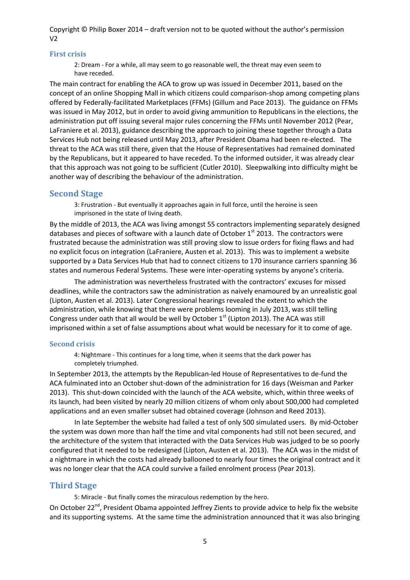#### <span id="page-4-0"></span>**First crisis**

2: Dream - For a while, all may seem to go reasonable well, the threat may even seem to have receded.

The main contract for enabling the ACA to grow up was issued in December 2011, based on the concept of an online Shopping Mall in which citizens could comparison-shop among competing plans offered by Federally-facilitated Marketplaces (FFMs) [\(Gillum and Pace 2013\)](#page-11-9). The guidance on FFMs was issued in May 2012, but in order to avoid giving ammunition to Republicans in the elections, the administration put off issuing several major rules concerning the FFMs until November 2012 [\(Pear,](#page-11-10)  [LaFraniere et al. 2013\)](#page-11-10), guidance describing the approach to joining these together through a Data Services Hub not being released until May 2013, after President Obama had been re-elected. The threat to the ACA was still there, given that the House of Representatives had remained dominated by the Republicans, but it appeared to have receded. To the informed outsider, it was already clear that this approach was not going to be sufficient [\(Cutler 2010\)](#page-10-2). Sleepwalking into difficulty might be another way of describing the behaviour of the administration.

#### <span id="page-4-1"></span>**Second Stage**

3: Frustration - But eventually it approaches again in full force, until the heroine is seen imprisoned in the state of living death.

By the middle of 2013, the ACA was living amongst 55 contractors implementing separately designed databases and pieces of software with a launch date of October  $1<sup>st</sup>$  2013. The contractors were frustrated because the administration was still proving slow to issue orders for fixing flaws and had no explicit focus on integration [\(LaFraniere, Austen et al. 2013\)](#page-11-11). This was to implement a website supported by a Data Services Hub that had to connect citizens to 170 insurance carriers spanning 36 states and numerous Federal Systems. These were inter-operating systems by anyone's criteria.

The administration was nevertheless frustrated with the contractors' excuses for missed deadlines, while the contractors saw the administration as naively enamoured by an unrealistic goal [\(Lipton, Austen et al. 2013\)](#page-11-12). Later Congressional hearings revealed the extent to which the administration, while knowing that there were problems looming in July 2013, was still telling Congress under oath that all would be well by October  $1<sup>st</sup>$  [\(Lipton 2013\)](#page-11-13). The ACA was still imprisoned within a set of false assumptions about what would be necessary for it to come of age.

#### <span id="page-4-2"></span>**Second crisis**

4: Nightmare - This continues for a long time, when it seems that the dark power has completely triumphed.

In September 2013, the attempts by the Republican-led House of Representatives to de-fund the ACA fulminated into an October shut-down of the administration for 16 days [\(Weisman and Parker](#page-12-2)  [2013\)](#page-12-2). This shut-down coincided with the launch of the ACA website, which, within three weeks of its launch, had been visited by nearly 20 million citizens of whom only about 500,000 had completed applications and an even smaller subset had obtained coverage [\(Johnson and Reed 2013\)](#page-11-7).

In late September the website had failed a test of only 500 simulated users. By mid-October the system was down more than half the time and vital components had still not been secured, and the architecture of the system that interacted with the Data Services Hub was judged to be so poorly configured that it needed to be redesigned [\(Lipton, Austen et al. 2013\)](#page-11-12). The ACA was in the midst of a nightmare in which the costs had already ballooned to nearly four times the original contract and it was no longer clear that the ACA could survive a failed enrolment process [\(Pear 2013\)](#page-11-14).

#### <span id="page-4-3"></span>**Third Stage**

5: Miracle - But finally comes the miraculous redemption by the hero.

On October 22<sup>nd</sup>, President Obama appointed Jeffrey Zients to provide advice to help fix the website and its supporting systems. At the same time the administration announced that it was also bringing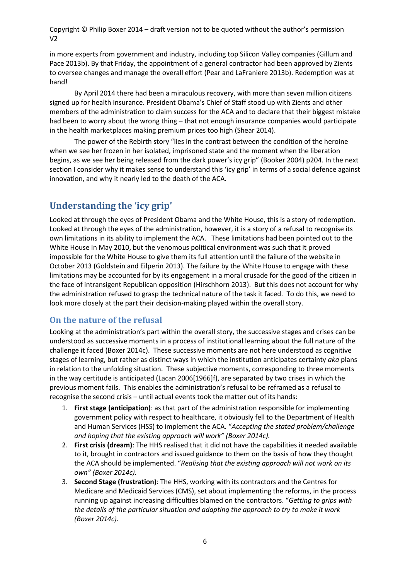in more experts from government and industry, including top Silicon Valley companies [\(Gillum and](#page-11-15)  [Pace 2013b\)](#page-11-15). By that Friday, the appointment of a general contractor had been approved by Zients to oversee changes and manage the overall effort [\(Pear and LaFraniere 2013b\)](#page-11-16). Redemption was at hand!

By April 2014 there had been a miraculous recovery, with more than seven million citizens signed up for health insurance. President Obama's Chief of Staff stood up with Zients and other members of the administration to claim success for the ACA and to declare that their biggest mistake had been to worry about the wrong thing – that not enough insurance companies would participate in the health marketplaces making premium prices too high [\(Shear 2014\)](#page-11-17).

The power of the Rebirth story "lies in the contrast between the condition of the heroine when we see her frozen in her isolated, imprisoned state and the moment when the liberation begins, as we see her being released from the dark power's icy grip" [\(Booker 2004\)](#page-10-1) p204. In the next section I consider why it makes sense to understand this 'icy grip' in terms of a social defence against innovation, and why it nearly led to the death of the ACA.

# <span id="page-5-0"></span>**Understanding the 'icy grip'**

Looked at through the eyes of President Obama and the White House, this is a story of redemption. Looked at through the eyes of the administration, however, it is a story of a refusal to recognise its own limitations in its ability to implement the ACA. These limitations had been pointed out to the White House in May 2010, but the venomous political environment was such that it proved impossible for the White House to give them its full attention until the failure of the website in October 2013 [\(Goldstein and Eilperin 2013\)](#page-11-18). The failure by the White House to engage with these limitations may be accounted for by its engagement in a moral crusade for the good of the citizen in the face of intransigent Republican opposition [\(Hirschhorn 2013\)](#page-11-0). But this does not account for why the administration refused to grasp the technical nature of the task it faced. To do this, we need to look more closely at the part their decision-making played within the overall story.

## <span id="page-5-1"></span>**On the nature of the refusal**

Looking at the administration's part within the overall story, the successive stages and crises can be understood as successive moments in a process of institutional learning about the full nature of the challenge it faced [\(Boxer 2014c\)](#page-10-3). These successive moments are not here understood as cognitive stages of learning, but rather as distinct ways in which the institution anticipates certainty *aka* plans in relation to the unfolding situation. These subjective moments, corresponding to three moments in the way certitude is anticipated [\(Lacan 2006\[1966\]f\)](#page-11-19), are separated by two crises in which the previous moment fails. This enables the administration's refusal to be reframed as a refusal to recognise the second crisis – until actual events took the matter out of its hands:

- 1. **First stage (anticipation)**: as that part of the administration responsible for implementing government policy with respect to healthcare, it obviously fell to the Department of Health and Human Services (HSS) to implement the ACA. "*Accepting the stated problem/challenge and hoping that the existing approach will work" [\(Boxer 2014c\)](#page-10-3).*
- 2. **First crisis (dream)**: The HHS realised that it did not have the capabilities it needed available to it, brought in contractors and issued guidance to them on the basis of how they thought the ACA should be implemented. "*Realising that the existing approach will not work on its own" [\(Boxer 2014c\)](#page-10-3).*
- 3. **Second Stage (frustration)**: The HHS, working with its contractors and the Centres for Medicare and Medicaid Services (CMS), set about implementing the reforms, in the process running up against increasing difficulties blamed on the contractors. "*Getting to grips with the details of the particular situation and adapting the approach to try to make it work [\(Boxer 2014c\)](#page-10-3).*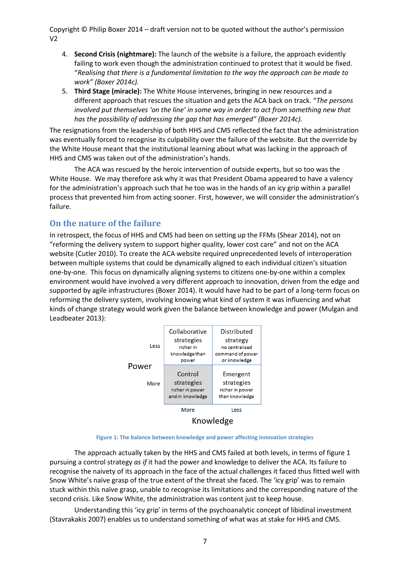- 4. **Second Crisis (nightmare):** The launch of the website is a failure, the approach evidently failing to work even though the administration continued to protest that it would be fixed. "*Realising that there is a fundamental limitation to the way the approach can be made to work" [\(Boxer 2014c\)](#page-10-3).*
- 5. **Third Stage (miracle):** The White House intervenes, bringing in new resources and a different approach that rescues the situation and gets the ACA back on track. "*The persons involved put themselves 'on the line' in some way in order to act from something new that has the possibility of addressing the gap that has emerged" [\(Boxer 2014c\)](#page-10-3).*

The resignations from the leadership of both HHS and CMS reflected the fact that the administration was eventually forced to recognise its culpability over the failure of the website. But the override by the White House meant that the institutional learning about what was lacking in the approach of HHS and CMS was taken out of the administration's hands.

The ACA was rescued by the heroic intervention of outside experts, but so too was the White House. We may therefore ask why it was that President Obama appeared to have a valency for the administration's approach such that he too was in the hands of an icy grip within a parallel process that prevented him from acting sooner. First, however, we will consider the administration's failure.

## <span id="page-6-0"></span>**On the nature of the failure**

In retrospect, the focus of HHS and CMS had been on setting up the FFMs [\(Shear 2014\)](#page-11-17), not on "reforming the delivery system to support higher quality, lower cost care" and not on the ACA website [\(Cutler 2010\)](#page-10-2). To create the ACA website required unprecedented levels of interoperation between multiple systems that could be dynamically aligned to each individual citizen's situation one-by-one. This focus on dynamically aligning systems to citizens one-by-one within a complex environment would have involved a very different approach to innovation, driven from the edge and supported by agile infrastructures [\(Boxer 2014\)](#page-10-4). It would have had to be part of a long-term focus on reforming the delivery system, involving knowing what kind of system it was influencing and what kinds of change strategy would work given the balance between knowledge and power [\(Mulgan and](#page-11-4)  [Leadbeater 2013\)](#page-11-4):



**Figure 1: The balance between knowledge and power affecting innovation strategies**

The approach actually taken by the HHS and CMS failed at both levels, in terms of figure 1 pursuing a control strategy *as if* it had the power and knowledge to deliver the ACA. Its failure to recognise the naivety of its approach in the face of the actual challenges it faced thus fitted well with Snow White's naïve grasp of the true extent of the threat she faced. The 'icy grip' was to remain stuck within this naïve grasp, unable to recognise its limitations and the corresponding nature of the second crisis. Like Snow White, the administration was content just to keep house.

Understanding this 'icy grip' in terms of the psychoanalytic concept of libidinal investment [\(Stavrakakis 2007\)](#page-12-3) enables us to understand something of what was at stake for HHS and CMS.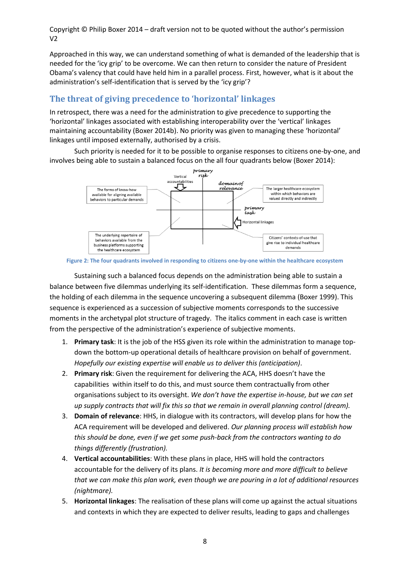Approached in this way, we can understand something of what is demanded of the leadership that is needed for the 'icy grip' to be overcome. We can then return to consider the nature of President Obama's valency that could have held him in a parallel process. First, however, what is it about the administration's self-identification that is served by the 'icy grip'?

## <span id="page-7-0"></span>**The threat of giving precedence to 'horizontal' linkages**

In retrospect, there was a need for the administration to give precedence to supporting the 'horizontal' linkages associated with establishing interoperability over the 'vertical' linkages maintaining accountability [\(Boxer 2014b\)](#page-10-5). No priority was given to managing these 'horizontal' linkages until imposed externally, authorised by a crisis.

Such priority is needed for it to be possible to organise responses to citizens one-by-one, and involves being able to sustain a balanced focus on the all four quadrants below [\(Boxer 2014\)](#page-10-4):



**Figure 2: The four quadrants involved in responding to citizens one-by-one within the healthcare ecosystem**

Sustaining such a balanced focus depends on the administration being able to sustain a balance between five dilemmas underlying its self-identification. These dilemmas form a sequence, the holding of each dilemma in the sequence uncovering a subsequent dilemma [\(Boxer 1999\)](#page-10-6). This sequence is experienced as a succession of subjective moments corresponds to the successive moments in the archetypal plot structure of tragedy. The italics comment in each case is written from the perspective of the administration's experience of subjective moments.

- 1. **Primary task**: It is the job of the HSS given its role within the administration to manage topdown the bottom-up operational details of healthcare provision on behalf of government. *Hopefully our existing expertise will enable us to deliver this (anticipation)*.
- 2. **Primary risk**: Given the requirement for delivering the ACA, HHS doesn't have the capabilities within itself to do this, and must source them contractually from other organisations subject to its oversight. *We don't have the expertise in-house, but we can set up supply contracts that will fix this so that we remain in overall planning control (dream).*
- 3. **Domain of relevance**: HHS, in dialogue with its contractors, will develop plans for how the ACA requirement will be developed and delivered. *Our planning process will establish how this should be done, even if we get some push-back from the contractors wanting to do things differently (frustration).*
- 4. **Vertical accountabilities**: With these plans in place, HHS will hold the contractors accountable for the delivery of its plans. *It is becoming more and more difficult to believe that we can make this plan work, even though we are pouring in a lot of additional resources (nightmare).*
- 5. **Horizontal linkages**: The realisation of these plans will come up against the actual situations and contexts in which they are expected to deliver results, leading to gaps and challenges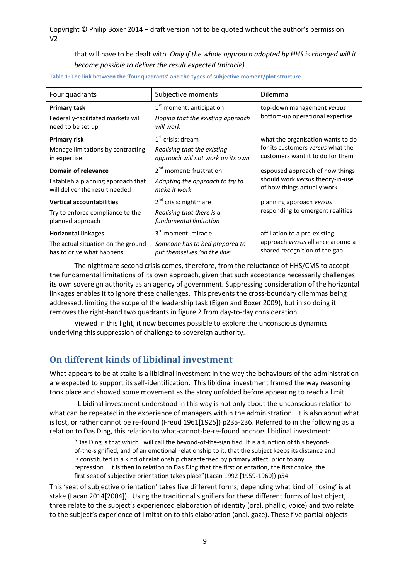that will have to be dealt with. *Only if the whole approach adopted by HHS is changed will it become possible to deliver the result expected (miracle).*

|  |  |  | Table 1: The link between the 'four quadrants' and the types of subjective moment/plot structure |
|--|--|--|--------------------------------------------------------------------------------------------------|
|--|--|--|--------------------------------------------------------------------------------------------------|

| Four quadrants                                                                           | Subjective moments                                                                     | Dilemma                                                       |
|------------------------------------------------------------------------------------------|----------------------------------------------------------------------------------------|---------------------------------------------------------------|
| <b>Primary task</b><br>Federally-facilitated markets will<br>need to be set up           | 1 <sup>st</sup> moment: anticipation<br>Hoping that the existing approach<br>will work | top-down management versus<br>bottom-up operational expertise |
| <b>Primary risk</b>                                                                      | $1st$ crisis: dream                                                                    | what the organisation wants to do                             |
| Manage limitations by contracting                                                        | Realising that the existing                                                            | for its customers versus what the                             |
| in expertise.                                                                            | approach will not work on its own                                                      | customers want it to do for them                              |
| <b>Domain of relevance</b>                                                               | 2 <sup>nd</sup> moment: frustration                                                    | espoused approach of how things                               |
| Establish a planning approach that                                                       | Adapting the approach to try to                                                        | should work versus theory-in-use                              |
| will deliver the result needed                                                           | make it work                                                                           | of how things actually work                                   |
| <b>Vertical accountabilities</b><br>Try to enforce compliance to the<br>planned approach | $2nd$ crisis: nightmare<br>Realising that there is a<br>fundamental limitation         | planning approach versus<br>responding to emergent realities  |
| <b>Horizontal linkages</b>                                                               | 3 <sup>rd</sup> moment: miracle                                                        | affiliation to a pre-existing                                 |
| The actual situation on the ground                                                       | Someone has to bed prepared to                                                         | approach versus alliance around a                             |
| has to drive what happens                                                                | put themselves 'on the line'                                                           | shared recognition of the gap                                 |

The nightmare second crisis comes, therefore, from the reluctance of HHS/CMS to accept the fundamental limitations of its own approach, given that such acceptance necessarily challenges its own sovereign authority as an agency of government. Suppressing consideration of the horizontal linkages enables it to ignore these challenges. This prevents the cross-boundary dilemmas being addressed, limiting the scope of the leadership task [\(Eigen and Boxer 2009\)](#page-11-20), but in so doing it removes the right-hand two quadrants in figure 2 from day-to-day consideration.

Viewed in this light, it now becomes possible to explore the unconscious dynamics underlying this suppression of challenge to sovereign authority.

## <span id="page-8-0"></span>**On different kinds of libidinal investment**

What appears to be at stake is a libidinal investment in the way the behaviours of the administration are expected to support its self-identification. This libidinal investment framed the way reasoning took place and showed some movement as the story unfolded before appearing to reach a limit.

 Libidinal investment understood in this way is not only about the unconscious relation to what can be repeated in the experience of managers within the administration. It is also about what is lost, or rather cannot be re-found [\(Freud 1961\[1925\]\)](#page-11-21) p235-236. Referred to in the following as a relation to Das Ding, this relation to what-cannot-be-re-found anchors libidinal investment:

"Das Ding is that which I will call the beyond-of-the-signified. It is a function of this beyondof-the-signified, and of an emotional relationship to it, that the subject keeps its distance and is constituted in a kind of relationship characterised by primary affect, prior to any repression… It is then in relation to Das Ding that the first orientation, the first choice, the first seat of subjective orientation takes place"[\(Lacan 1992 \[1959-1960\]\)](#page-11-22) p54

This 'seat of subjective orientation' takes five different forms, depending what kind of 'losing' is at stake [\(Lacan 2014\[2004\]\)](#page-11-8). Using the traditional signifiers for these different forms of lost object, three relate to the subject's experienced elaboration of identity (oral, phallic, voice) and two relate to the subject's experience of limitation to this elaboration (anal, gaze). These five partial objects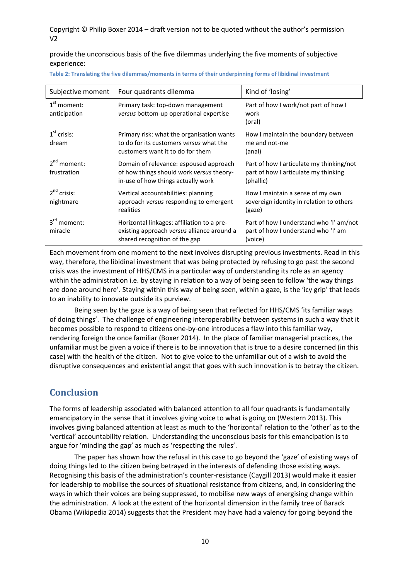provide the unconscious basis of the five dilemmas underlying the five moments of subjective experience:

**Table 2: Translating the five dilemmas/moments in terms of their underpinning forms of libidinal investment**

| Subjective moment                  | Four quadrants dilemma                                                                                                    | Kind of 'losing'                                                                              |
|------------------------------------|---------------------------------------------------------------------------------------------------------------------------|-----------------------------------------------------------------------------------------------|
| $1st$ moment:<br>anticipation      | Primary task: top-down management<br>versus bottom-up operational expertise                                               | Part of how I work/not part of how I<br>work<br>(oral)                                        |
| $1st$ crisis:<br>dream             | Primary risk: what the organisation wants<br>to do for its customers versus what the<br>customers want it to do for them  | How I maintain the boundary between<br>me and not-me<br>(anal)                                |
| $2^{nd}$ moment:<br>frustration    | Domain of relevance: espoused approach<br>of how things should work versus theory-<br>in-use of how things actually work  | Part of how I articulate my thinking/not<br>part of how I articulate my thinking<br>(phallic) |
| $2^{nd}$ crisis:<br>nightmare      | Vertical accountabilities: planning<br>approach versus responding to emergent<br>realities                                | How I maintain a sense of my own<br>sovereign identity in relation to others<br>(gaze)        |
| 3 <sup>rd</sup> moment:<br>miracle | Horizontal linkages: affiliation to a pre-<br>existing approach versus alliance around a<br>shared recognition of the gap | Part of how I understand who 'I' am/not<br>part of how I understand who 'I' am<br>(voice)     |

Each movement from one moment to the next involves disrupting previous investments. Read in this way, therefore, the libidinal investment that was being protected by refusing to go past the second crisis was the investment of HHS/CMS in a particular way of understanding its role as an agency within the administration i.e. by staying in relation to a way of being seen to follow 'the way things are done around here'. Staying within this way of being seen, within a gaze, is the 'icy grip' that leads to an inability to innovate outside its purview.

Being seen by the gaze is a way of being seen that reflected for HHS/CMS 'its familiar ways of doing things'. The challenge of engineering interoperability between systems in such a way that it becomes possible to respond to citizens one-by-one introduces a flaw into this familiar way, rendering foreign the once familiar [\(Boxer 2014\)](#page-10-4). In the place of familiar managerial practices, the unfamiliar must be given a voice if there is to be innovation that is true to a desire concerned (in this case) with the health of the citizen. Not to give voice to the unfamiliar out of a wish to avoid the disruptive consequences and existential angst that goes with such innovation is to betray the citizen.

## <span id="page-9-0"></span>**Conclusion**

The forms of leadership associated with balanced attention to all four quadrants is fundamentally emancipatory in the sense that it involves giving voice to what is going on [\(Western 2013\)](#page-12-4). This involves giving balanced attention at least as much to the 'horizontal' relation to the 'other' as to the 'vertical' accountability relation. Understanding the unconscious basis for this emancipation is to argue for 'minding the gap' as much as 'respecting the rules'.

The paper has shown how the refusal in this case to go beyond the 'gaze' of existing ways of doing things led to the citizen being betrayed in the interests of defending those existing ways. Recognising this basis of the administration's counter-resistance [\(Caygill 2013\)](#page-10-7) would make it easier for leadership to mobilise the sources of situational resistance from citizens, and, in considering the ways in which their voices are being suppressed, to mobilise new ways of energising change within the administration. A look at the extent of the horizontal dimension in the family tree of Barack Obama [\(Wikipedia 2014\)](#page-12-5) suggests that the President may have had a valency for going beyond the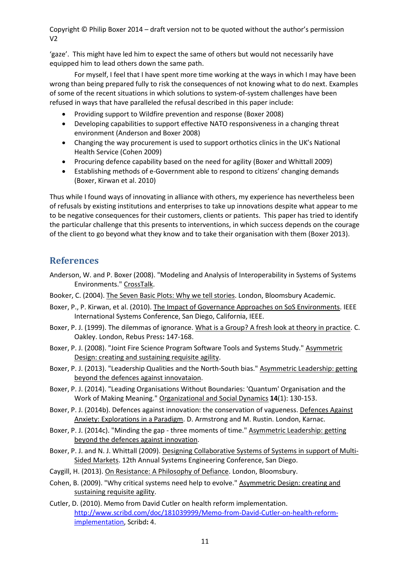'gaze'. This might have led him to expect the same of others but would not necessarily have equipped him to lead others down the same path.

For myself, I feel that I have spent more time working at the ways in which I may have been wrong than being prepared fully to risk the consequences of not knowing what to do next. Examples of some of the recent situations in which solutions to system-of-system challenges have been refused in ways that have paralleled the refusal described in this paper include:

- Providing support to Wildfire prevention and response [\(Boxer 2008\)](#page-10-8)
- Developing capabilities to support effective NATO responsiveness in a changing threat environment [\(Anderson and Boxer 2008\)](#page-10-9)
- Changing the way procurement is used to support orthotics clinics in the UK's National Health Service [\(Cohen 2009\)](#page-10-10)
- Procuring defence capability based on the need for agility [\(Boxer and Whittall 2009\)](#page-10-11)
- Establishing methods of e-Government able to respond to citizens' changing demands [\(Boxer, Kirwan et al. 2010\)](#page-10-12)

Thus while I found ways of innovating in alliance with others, my experience has nevertheless been of refusals by existing institutions and enterprises to take up innovations despite what appear to me to be negative consequences for their customers, clients or patients. This paper has tried to identify the particular challenge that this presents to interventions, in which success depends on the courage of the client to go beyond what they know and to take their organisation with them [\(Boxer 2013\)](#page-10-13).

## <span id="page-10-0"></span>**References**

- <span id="page-10-9"></span>Anderson, W. and P. Boxer (2008). "Modeling and Analysis of Interoperability in Systems of Systems Environments." CrossTalk.
- <span id="page-10-1"></span>Booker, C. (2004). The Seven Basic Plots: Why we tell stories. London, Bloomsbury Academic.
- <span id="page-10-12"></span>Boxer, P., P. Kirwan, et al. (2010). The Impact of Governance Approaches on SoS Environments. IEEE International Systems Conference, San Diego, California, IEEE.
- <span id="page-10-6"></span>Boxer, P. J. (1999). The dilemmas of ignorance. What is a Group? A fresh look at theory in practice. C. Oakley. London, Rebus Press**:** 147-168.
- <span id="page-10-8"></span>Boxer, P. J. (2008). "Joint Fire Science Program Software Tools and Systems Study." Asymmetric Design: creating and sustaining requisite agility.
- <span id="page-10-13"></span>Boxer, P. J. (2013). "Leadership Qualities and the North-South bias." Asymmetric Leadership: getting beyond the defences against innovataion.
- <span id="page-10-4"></span>Boxer, P. J. (2014). "Leading Organisations Without Boundaries: 'Quantum' Organisation and the Work of Making Meaning." Organizational and Social Dynamics **14**(1): 130-153.
- <span id="page-10-5"></span>Boxer, P. J. (2014b). Defences against innovation: the conservation of vagueness. Defences Against Anxiety: Explorations in a Paradigm. D. Armstrong and M. Rustin. London, Karnac.
- <span id="page-10-3"></span>Boxer, P. J. (2014c). "Minding the gap - three moments of time." Asymmetric Leadership: getting beyond the defences against innovation.
- <span id="page-10-11"></span>Boxer, P. J. and N. J. Whittall (2009). Designing Collaborative Systems of Systems in support of Multi-Sided Markets. 12th Annual Systems Engineering Conference, San Diego.
- <span id="page-10-7"></span>Caygill, H. (2013). On Resistance: A Philosophy of Defiance. London, Bloomsbury.
- <span id="page-10-10"></span>Cohen, B. (2009). "Why critical systems need help to evolve." Asymmetric Design: creating and sustaining requisite agility.
- <span id="page-10-2"></span>Cutler, D. (2010). Memo from David Cutler on health reform implementation. [http://www.scribd.com/doc/181039999/Memo-from-David-Cutler-on-health-reform](http://www.scribd.com/doc/181039999/Memo-from-David-Cutler-on-health-reform-implementation)[implementation,](http://www.scribd.com/doc/181039999/Memo-from-David-Cutler-on-health-reform-implementation) Scribd**:** 4.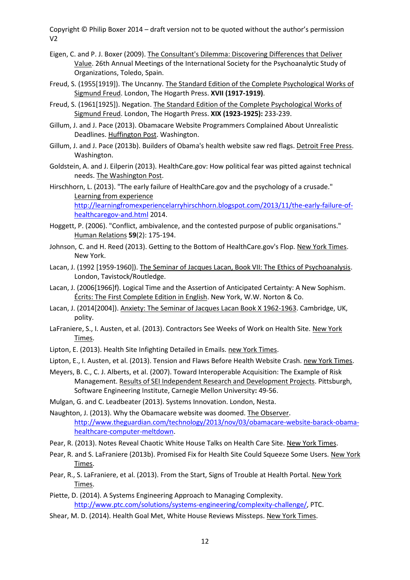- <span id="page-11-20"></span>Eigen, C. and P. J. Boxer (2009). The Consultant's Dilemma: Discovering Differences that Deliver Value. 26th Annual Meetings of the International Society for the Psychoanalytic Study of Organizations, Toledo, Spain.
- <span id="page-11-2"></span>Freud, S. (1955[1919]). The Uncanny. The Standard Edition of the Complete Psychological Works of Sigmund Freud. London, The Hogarth Press. **XVII (1917-1919)**.
- <span id="page-11-21"></span>Freud, S. (1961[1925]). Negation. The Standard Edition of the Complete Psychological Works of Sigmund Freud. London, The Hogarth Press. **XIX (1923-1925):** 233-239.
- <span id="page-11-9"></span>Gillum, J. and J. Pace (2013). Obamacare Website Programmers Complained About Unrealistic Deadlines. Huffington Post. Washington.
- <span id="page-11-15"></span>Gillum, J. and J. Pace (2013b). Builders of Obama's health website saw red flags. Detroit Free Press. Washington.
- <span id="page-11-18"></span>Goldstein, A. and J. Eilperin (2013). HealthCare.gov: How political fear was pitted against technical needs. The Washington Post.

<span id="page-11-0"></span>Hirschhorn, L. (2013). "The early failure of HealthCare.gov and the psychology of a crusade." Learning from experience [http://learningfromexperiencelarryhirschhorn.blogspot.com/2013/11/the-early-failure-of](http://learningfromexperiencelarryhirschhorn.blogspot.com/2013/11/the-early-failure-of-healthcaregov-and.html)[healthcaregov-and.html](http://learningfromexperiencelarryhirschhorn.blogspot.com/2013/11/the-early-failure-of-healthcaregov-and.html) 2014.

- <span id="page-11-3"></span>Hoggett, P. (2006). "Conflict, ambivalence, and the contested purpose of public organisations." Human Relations **59**(2): 175-194.
- <span id="page-11-7"></span>Johnson, C. and H. Reed (2013). Getting to the Bottom of HealthCare.gov's Flop. New York Times. New York.
- <span id="page-11-22"></span>Lacan, J. (1992 [1959-1960]). The Seminar of Jacques Lacan, Book VII: The Ethics of Psychoanalysis. London, Tavistock/Routledge.
- <span id="page-11-19"></span>Lacan, J. (2006[1966]f). Logical Time and the Assertion of Anticipated Certainty: A New Sophism. Écrits: The First Complete Edition in English. New York, W.W. Norton & Co.
- <span id="page-11-8"></span>Lacan, J. (2014[2004]). Anxiety: The Seminar of Jacques Lacan Book X 1962-1963. Cambridge, UK, polity.
- <span id="page-11-11"></span>LaFraniere, S., I. Austen, et al. (2013). Contractors See Weeks of Work on Health Site. New York Times.
- <span id="page-11-13"></span>Lipton, E. (2013). Health Site Infighting Detailed in Emails. new York Times.

<span id="page-11-12"></span>Lipton, E., I. Austen, et al. (2013). Tension and Flaws Before Health Website Crash. new York Times.

<span id="page-11-6"></span>Meyers, B. C., C. J. Alberts, et al. (2007). Toward Interoperable Acquisition: The Example of Risk Management. Results of SEI Independent Research and Development Projects. Pittsburgh, Software Engineering Institute, Carnegie Mellon University**:** 49-56.

<span id="page-11-4"></span>Mulgan, G. and C. Leadbeater (2013). Systems Innovation. London, Nesta.

- <span id="page-11-1"></span>Naughton, J. (2013). Why the Obamacare website was doomed. The Observer. [http://www.theguardian.com/technology/2013/nov/03/obamacare-website-barack-obama](http://www.theguardian.com/technology/2013/nov/03/obamacare-website-barack-obama-healthcare-computer-meltdown)[healthcare-computer-meltdown.](http://www.theguardian.com/technology/2013/nov/03/obamacare-website-barack-obama-healthcare-computer-meltdown)
- <span id="page-11-14"></span>Pear, R. (2013). Notes Reveal Chaotic White House Talks on Health Care Site. New York Times.
- <span id="page-11-16"></span>Pear, R. and S. LaFraniere (2013b). Promised Fix for Health Site Could Squeeze Some Users. New York Times.
- <span id="page-11-10"></span>Pear, R., S. LaFraniere, et al. (2013). From the Start, Signs of Trouble at Health Portal. New York Times.
- <span id="page-11-5"></span>Piette, D. (2014). A Systems Engineering Approach to Managing Complexity. [http://www.ptc.com/solutions/systems-engineering/complexity-challenge/,](http://www.ptc.com/solutions/systems-engineering/complexity-challenge/) PTC.
- <span id="page-11-17"></span>Shear, M. D. (2014). Health Goal Met, White House Reviews Missteps. New York Times.